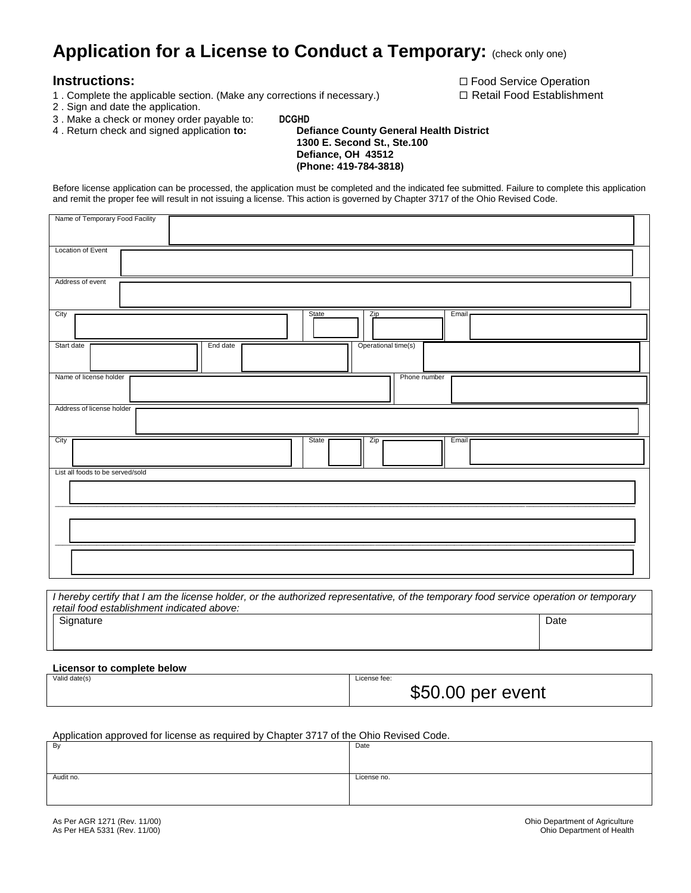## **Application for a License to Conduct a Temporary: (check only one)**

- 1 . Complete the applicable section. (Make any corrections if necessary.)  $\Box$  Retail Food Establishment
- 2 . Sign and date the application.
- 3 . Make a check or money order payable to: **DCGHD**
- 4 . Return check and signed application **to: Defiance County General Health District**

 **1300 E. Second St., Ste.100 Defiance, OH 43512** 

 **(Phone: 419-784-3818)** 

Before license application can be processed, the application must be completed and the indicated fee submitted. Failure to complete this application and remit the proper fee will result in not issuing a license. This action is governed by Chapter 3717 of the Ohio Revised Code.

| Name of Temporary Food Facility  |                     |       |  |  |
|----------------------------------|---------------------|-------|--|--|
| Location of Event                |                     |       |  |  |
| Address of event                 |                     |       |  |  |
| City                             | State<br>Zip        | Email |  |  |
| Start date<br>End date           | Operational time(s) |       |  |  |
| Name of license holder           | Phone number        |       |  |  |
| Address of license holder        |                     |       |  |  |
| City                             | State<br>Zip        | Email |  |  |
| List all foods to be served/sold |                     |       |  |  |
|                                  |                     |       |  |  |
|                                  |                     |       |  |  |
|                                  |                     |       |  |  |

*I hereby certify that I am the license holder, or the authorized representative, of the temporary food service operation or temporary retail food establishment indicated above:* Signature Date **Date of the Date of the Contract of the Contract of the Contract of Contract of Contract of Contract of Contract of Contract of Contract of Contract of Contract of Contract of Contract of Contract of Contra** 

**Licensor to complete below** Valid date(s) **License fee:**  $\blacksquare$ 

| ense ree: |                   |  |
|-----------|-------------------|--|
|           | \$50.00 per event |  |

Application approved for license as required by Chapter 3717 of the Ohio Revised Code.

| By        | Date        |
|-----------|-------------|
| Audit no. | License no. |

**Instructions:** The integral of the integral of the integration of the integration of  $\Box$  Food Service Operation